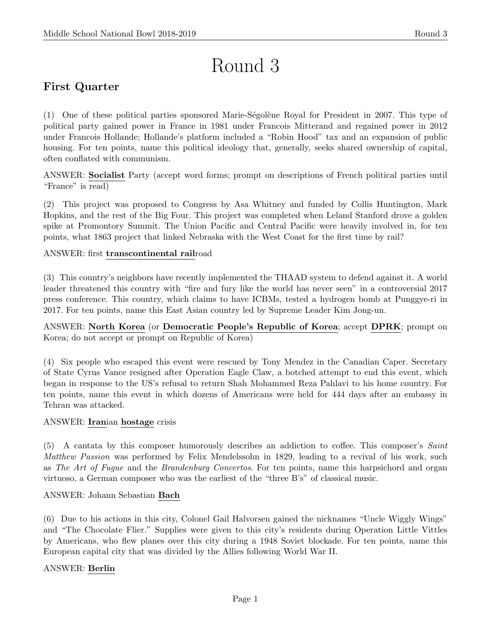# Round 3

# First Quarter

(1) One of these political parties sponsored Marie-S´egol`ene Royal for President in 2007. This type of political party gained power in France in 1981 under Francois Mitterand and regained power in 2012 under Francois Hollande; Hollande's platform included a "Robin Hood" tax and an expansion of public housing. For ten points, name this political ideology that, generally, seeks shared ownership of capital, often conflated with communism.

ANSWER: Socialist Party (accept word forms; prompt on descriptions of French political parties until "France" is read)

(2) This project was proposed to Congress by Asa Whitney and funded by Collis Huntington, Mark Hopkins, and the rest of the Big Four. This project was completed when Leland Stanford drove a golden spike at Promontory Summit. The Union Pacific and Central Pacific were heavily involved in, for ten points, what 1863 project that linked Nebraska with the West Coast for the first time by rail?

#### ANSWER: first transcontinental railroad

(3) This country's neighbors have recently implemented the THAAD system to defend against it. A world leader threatened this country with "fire and fury like the world has never seen" in a controversial 2017 press conference. This country, which claims to have ICBMs, tested a hydrogen bomb at Punggye-ri in 2017. For ten points, name this East Asian country led by Supreme Leader Kim Jong-un.

ANSWER: North Korea (or Democratic People's Republic of Korea; accept DPRK; prompt on Korea; do not accept or prompt on Republic of Korea)

(4) Six people who escaped this event were rescued by Tony Mendez in the Canadian Caper. Secretary of State Cyrus Vance resigned after Operation Eagle Claw, a botched attempt to end this event, which began in response to the US's refusal to return Shah Mohammed Reza Pahlavi to his home country. For ten points, name this event in which dozens of Americans were held for 444 days after an embassy in Tehran was attacked.

#### ANSWER: Iranian hostage crisis

(5) A cantata by this composer humorously describes an addiction to coffee. This composer's Saint Matthew Passion was performed by Felix Mendelssohn in 1829, leading to a revival of his work, such as The Art of Fugue and the Brandenburg Concertos. For ten points, name this harpsichord and organ virtuoso, a German composer who was the earliest of the "three B's" of classical music.

#### ANSWER: Johann Sebastian Bach

(6) Due to his actions in this city, Colonel Gail Halvorsen gained the nicknames "Uncle Wiggly Wings" and "The Chocolate Flier." Supplies were given to this city's residents during Operation Little Vittles by Americans, who flew planes over this city during a 1948 Soviet blockade. For ten points, name this European capital city that was divided by the Allies following World War II.

#### ANSWER: Berlin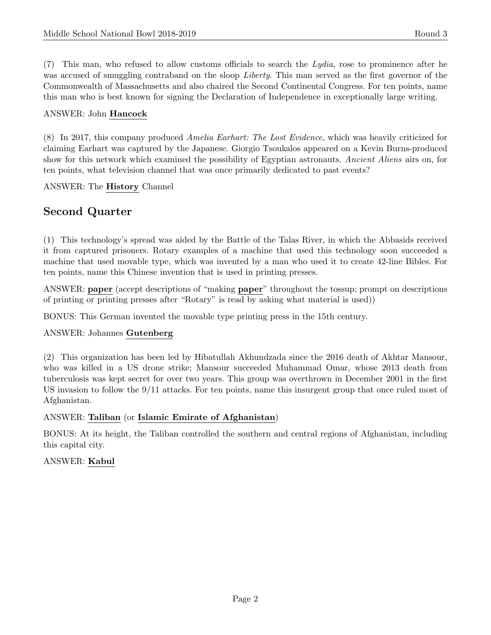$(7)$  This man, who refused to allow customs officials to search the Lydia, rose to prominence after he was accused of smuggling contraband on the sloop Liberty. This man served as the first governor of the Commonwealth of Massachusetts and also chaired the Second Continental Congress. For ten points, name this man who is best known for signing the Declaration of Independence in exceptionally large writing.

#### ANSWER: John Hancock

(8) In 2017, this company produced Amelia Earhart: The Lost Evidence, which was heavily criticized for claiming Earhart was captured by the Japanese. Giorgio Tsoukalos appeared on a Kevin Burns-produced show for this network which examined the possibility of Egyptian astronauts. Ancient Aliens airs on, for ten points, what television channel that was once primarily dedicated to past events?

ANSWER: The History Channel

# Second Quarter

(1) This technology's spread was aided by the Battle of the Talas River, in which the Abbasids received it from captured prisoners. Rotary examples of a machine that used this technology soon succeeded a machine that used movable type, which was invented by a man who used it to create 42-line Bibles. For ten points, name this Chinese invention that is used in printing presses.

ANSWER: paper (accept descriptions of "making paper" throughout the tossup; prompt on descriptions of printing or printing presses after "Rotary" is read by asking what material is used))

BONUS: This German invented the movable type printing press in the 15th century.

#### ANSWER: Johannes Gutenberg

(2) This organization has been led by Hibatullah Akhundzada since the 2016 death of Akhtar Mansour, who was killed in a US drone strike; Mansour succeeded Muhammad Omar, whose 2013 death from tuberculosis was kept secret for over two years. This group was overthrown in December 2001 in the first US invasion to follow the 9/11 attacks. For ten points, name this insurgent group that once ruled most of Afghanistan.

#### ANSWER: Taliban (or Islamic Emirate of Afghanistan)

BONUS: At its height, the Taliban controlled the southern and central regions of Afghanistan, including this capital city.

#### ANSWER: Kabul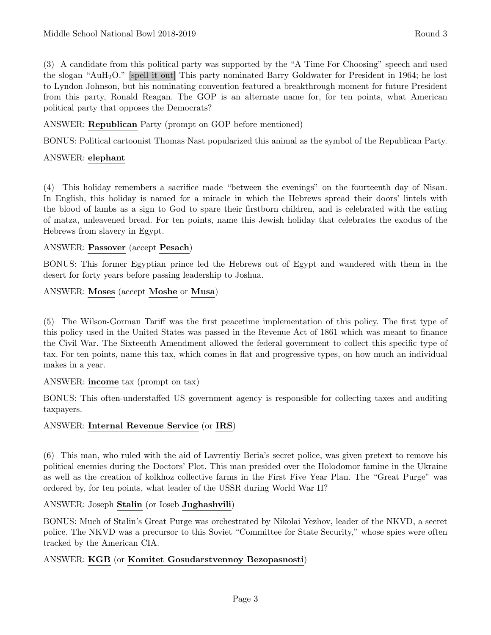(3) A candidate from this political party was supported by the "A Time For Choosing" speech and used the slogan "AuH2O." [spell it out] This party nominated Barry Goldwater for President in 1964; he lost to Lyndon Johnson, but his nominating convention featured a breakthrough moment for future President from this party, Ronald Reagan. The GOP is an alternate name for, for ten points, what American political party that opposes the Democrats?

ANSWER: Republican Party (prompt on GOP before mentioned)

BONUS: Political cartoonist Thomas Nast popularized this animal as the symbol of the Republican Party.

## ANSWER: elephant

(4) This holiday remembers a sacrifice made "between the evenings" on the fourteenth day of Nisan. In English, this holiday is named for a miracle in which the Hebrews spread their doors' lintels with the blood of lambs as a sign to God to spare their firstborn children, and is celebrated with the eating of matza, unleavened bread. For ten points, name this Jewish holiday that celebrates the exodus of the Hebrews from slavery in Egypt.

### ANSWER: Passover (accept Pesach)

BONUS: This former Egyptian prince led the Hebrews out of Egypt and wandered with them in the desert for forty years before passing leadership to Joshua.

ANSWER: Moses (accept Moshe or Musa)

(5) The Wilson-Gorman Tariff was the first peacetime implementation of this policy. The first type of this policy used in the United States was passed in the Revenue Act of 1861 which was meant to finance the Civil War. The Sixteenth Amendment allowed the federal government to collect this specific type of tax. For ten points, name this tax, which comes in flat and progressive types, on how much an individual makes in a year.

#### ANSWER: income tax (prompt on tax)

BONUS: This often-understaffed US government agency is responsible for collecting taxes and auditing taxpayers.

## ANSWER: Internal Revenue Service (or IRS)

(6) This man, who ruled with the aid of Lavrentiy Beria's secret police, was given pretext to remove his political enemies during the Doctors' Plot. This man presided over the Holodomor famine in the Ukraine as well as the creation of kolkhoz collective farms in the First Five Year Plan. The "Great Purge" was ordered by, for ten points, what leader of the USSR during World War II?

#### ANSWER: Joseph Stalin (or Ioseb Jughashvili)

BONUS: Much of Stalin's Great Purge was orchestrated by Nikolai Yezhov, leader of the NKVD, a secret police. The NKVD was a precursor to this Soviet "Committee for State Security," whose spies were often tracked by the American CIA.

#### ANSWER: KGB (or Komitet Gosudarstvennoy Bezopasnosti)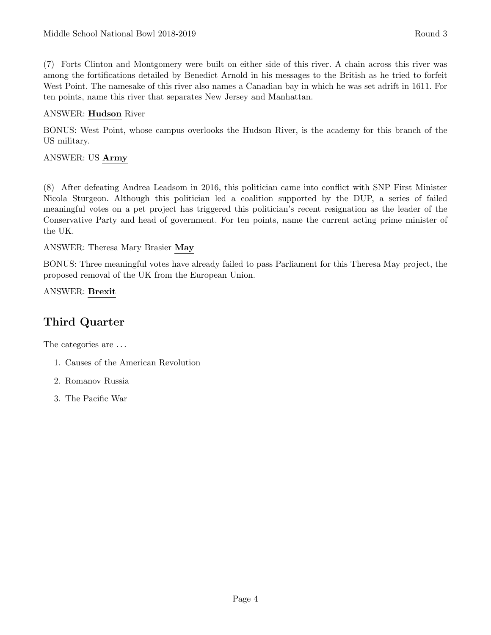(7) Forts Clinton and Montgomery were built on either side of this river. A chain across this river was among the fortifications detailed by Benedict Arnold in his messages to the British as he tried to forfeit West Point. The namesake of this river also names a Canadian bay in which he was set adrift in 1611. For ten points, name this river that separates New Jersey and Manhattan.

#### ANSWER: Hudson River

BONUS: West Point, whose campus overlooks the Hudson River, is the academy for this branch of the US military.

#### ANSWER: US Army

(8) After defeating Andrea Leadsom in 2016, this politician came into conflict with SNP First Minister Nicola Sturgeon. Although this politician led a coalition supported by the DUP, a series of failed meaningful votes on a pet project has triggered this politician's recent resignation as the leader of the Conservative Party and head of government. For ten points, name the current acting prime minister of the UK.

#### ANSWER: Theresa Mary Brasier May

BONUS: Three meaningful votes have already failed to pass Parliament for this Theresa May project, the proposed removal of the UK from the European Union.

#### ANSWER: Brexit

# Third Quarter

The categories are . . .

- 1. Causes of the American Revolution
- 2. Romanov Russia
- 3. The Pacific War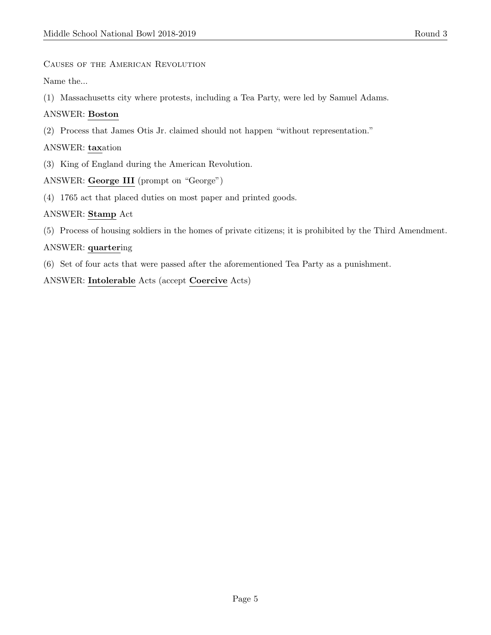#### Causes of the American Revolution

Name the...

(1) Massachusetts city where protests, including a Tea Party, were led by Samuel Adams.

#### ANSWER: Boston

(2) Process that James Otis Jr. claimed should not happen "without representation."

#### ANSWER: taxation

(3) King of England during the American Revolution.

#### ANSWER: George III (prompt on "George")

(4) 1765 act that placed duties on most paper and printed goods.

#### ANSWER: Stamp Act

(5) Process of housing soldiers in the homes of private citizens; it is prohibited by the Third Amendment.

#### ANSWER: quartering

(6) Set of four acts that were passed after the aforementioned Tea Party as a punishment.

ANSWER: Intolerable Acts (accept Coercive Acts)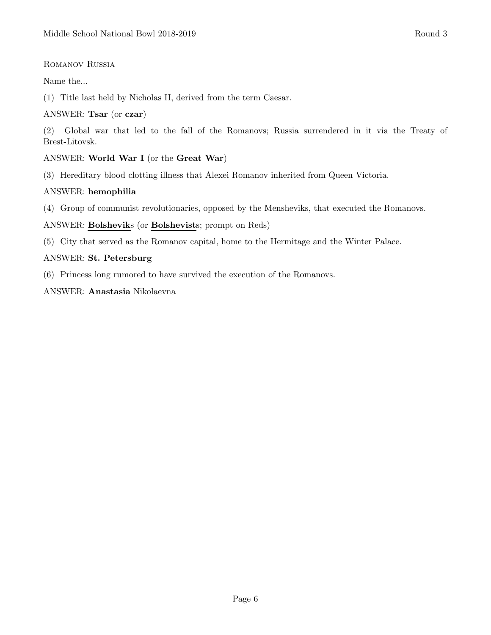#### Romanov Russia

Name the...

(1) Title last held by Nicholas II, derived from the term Caesar.

#### ANSWER: Tsar (or czar)

(2) Global war that led to the fall of the Romanovs; Russia surrendered in it via the Treaty of Brest-Litovsk.

#### ANSWER: World War I (or the Great War)

(3) Hereditary blood clotting illness that Alexei Romanov inherited from Queen Victoria.

#### ANSWER: hemophilia

(4) Group of communist revolutionaries, opposed by the Mensheviks, that executed the Romanovs.

ANSWER: Bolsheviks (or Bolshevists; prompt on Reds)

(5) City that served as the Romanov capital, home to the Hermitage and the Winter Palace.

#### ANSWER: St. Petersburg

(6) Princess long rumored to have survived the execution of the Romanovs.

#### ANSWER: Anastasia Nikolaevna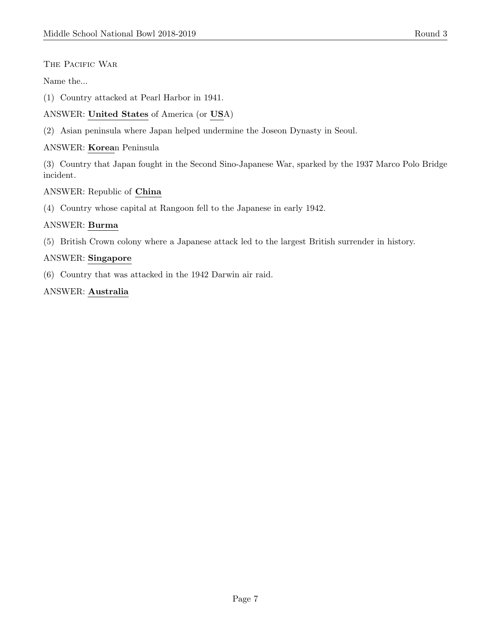#### THE PACIFIC WAR

#### Name the...

- (1) Country attacked at Pearl Harbor in 1941.
- ANSWER: United States of America (or USA)
- (2) Asian peninsula where Japan helped undermine the Joseon Dynasty in Seoul.

#### ANSWER: Korean Peninsula

(3) Country that Japan fought in the Second Sino-Japanese War, sparked by the 1937 Marco Polo Bridge incident.

#### ANSWER: Republic of China

(4) Country whose capital at Rangoon fell to the Japanese in early 1942.

#### ANSWER: Burma

(5) British Crown colony where a Japanese attack led to the largest British surrender in history.

#### ANSWER: Singapore

(6) Country that was attacked in the 1942 Darwin air raid.

#### ANSWER: Australia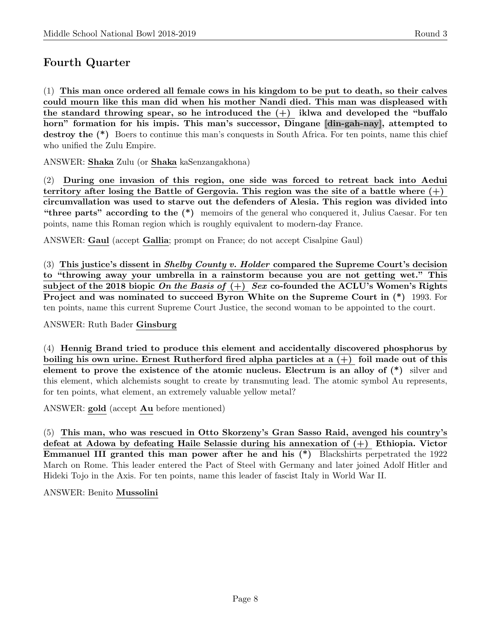# Fourth Quarter

(1) This man once ordered all female cows in his kingdom to be put to death, so their calves could mourn like this man did when his mother Nandi died. This man was displeased with the standard throwing spear, so he introduced the  $(+)$  iklwa and developed the "buffalo" horn" formation for his impis. This man's successor, Dingane [din-gah-nay], attempted to destroy the  $(*)$  Boers to continue this man's conquests in South Africa. For ten points, name this chief who unified the Zulu Empire.

ANSWER: Shaka Zulu (or Shaka kaSenzangakhona)

(2) During one invasion of this region, one side was forced to retreat back into Aedui territory after losing the Battle of Gergovia. This region was the site of a battle where  $(+)$ circumvallation was used to starve out the defenders of Alesia. This region was divided into "three parts" according to the (\*) memoirs of the general who conquered it, Julius Caesar. For ten points, name this Roman region which is roughly equivalent to modern-day France.

ANSWER: Gaul (accept Gallia; prompt on France; do not accept Cisalpine Gaul)

(3) This justice's dissent in *Shelby County v. Holder* compared the Supreme Court's decision to "throwing away your umbrella in a rainstorm because you are not getting wet." This subject of the 2018 biopic On the Basis of  $(+)$  Sex co-founded the ACLU's Women's Rights Project and was nominated to succeed Byron White on the Supreme Court in (\*) 1993. For ten points, name this current Supreme Court Justice, the second woman to be appointed to the court.

ANSWER: Ruth Bader Ginsburg

(4) Hennig Brand tried to produce this element and accidentally discovered phosphorus by boiling his own urine. Ernest Rutherford fired alpha particles at a  $(+)$  foil made out of this element to prove the existence of the atomic nucleus. Electrum is an alloy of  $(*)$  silver and this element, which alchemists sought to create by transmuting lead. The atomic symbol Au represents, for ten points, what element, an extremely valuable yellow metal?

ANSWER: gold (accept Au before mentioned)

(5) This man, who was rescued in Otto Skorzeny's Gran Sasso Raid, avenged his country's defeat at Adowa by defeating Haile Selassie during his annexation of (+) Ethiopia. Victor Emmanuel III granted this man power after he and his (\*) Blackshirts perpetrated the 1922 March on Rome. This leader entered the Pact of Steel with Germany and later joined Adolf Hitler and Hideki Tojo in the Axis. For ten points, name this leader of fascist Italy in World War II.

ANSWER: Benito Mussolini